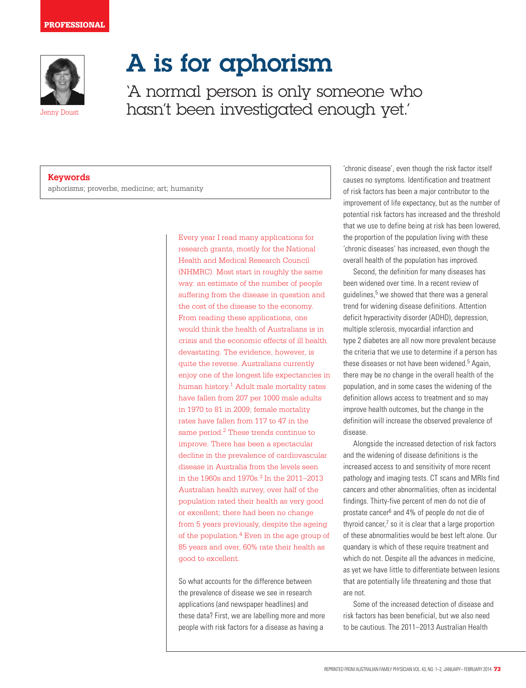

Jenny Doust

A is for aphorism

'A normal person is only someone who hasn't been investigated enough yet.'

## **Keywords**

aphorisms; proverbs, medicine; art; humanity

Every year I read many applications for research grants, mostly for the National Health and Medical Research Council (NHMRC). Most start in roughly the same way: an estimate of the number of people suffering from the disease in question and the cost of the disease to the economy. From reading these applications, one would think the health of Australians is in crisis and the economic effects of ill health devastating. The evidence, however, is quite the reverse. Australians currently enjoy one of the longest life expectancies in human history.<sup>1</sup> Adult male mortality rates have fallen from 207 per 1000 male adults in 1970 to 81 in 2009; female mortality rates have fallen from 117 to 47 in the same period.2 These trends continue to improve. There has been a spectacular decline in the prevalence of cardiovascular disease in Australia from the levels seen in the 1960s and 1970s.<sup>3</sup> In the 2011–2013 Australian health survey, over half of the population rated their health as very good or excellent; there had been no change from 5 years previously, despite the ageing of the population. $4$  Even in the age group of 85 years and over, 60% rate their health as good to excellent.

So what accounts for the difference between the prevalence of disease we see in research applications (and newspaper headlines) and these data? First, we are labelling more and more people with risk factors for a disease as having a

'chronic disease', even though the risk factor itself causes no symptoms. Identification and treatment of risk factors has been a major contributor to the improvement of life expectancy, but as the number of potential risk factors has increased and the threshold that we use to define being at risk has been lowered, the proportion of the population living with these 'chronic diseases' has increased, even though the overall health of the population has improved.

Second, the definition for many diseases has been widened over time. In a recent review of guidelines,<sup>5</sup> we showed that there was a general trend for widening disease definitions. Attention deficit hyperactivity disorder (ADHD), depression, multiple sclerosis, myocardial infarction and type 2 diabetes are all now more prevalent because the criteria that we use to determine if a person has these diseases or not have been widened.<sup>5</sup> Again, there may be no change in the overall health of the population, and in some cases the widening of the definition allows access to treatment and so may improve health outcomes, but the change in the definition will increase the observed prevalence of disease.

Alongside the increased detection of risk factors and the widening of disease definitions is the increased access to and sensitivity of more recent pathology and imaging tests. CT scans and MRIs find cancers and other abnormalities, often as incidental findings. Thirty-five percent of men do not die of prostate cancer<sup>6</sup> and 4% of people do not die of thyroid cancer, $7$  so it is clear that a large proportion of these abnormalities would be best left alone. Our quandary is which of these require treatment and which do not. Despite all the advances in medicine, as yet we have little to differentiate between lesions that are potentially life threatening and those that are not.

Some of the increased detection of disease and risk factors has been beneficial, but we also need to be cautious. The 2011–2013 Australian Health